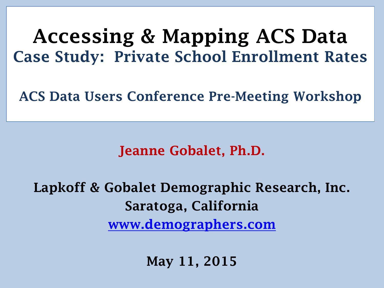### **Accessing & Mapping ACS Data Case Study: Private School Enrollment Rates**

**ACS Data Users Conference Pre-Meeting Workshop**

#### **Jeanne Gobalet, Ph.D.**

**Lapkoff & Gobalet Demographic Research, Inc. Saratoga, California [www.demographers.com](http://www.demographers.com/)**

**May 11, 2015**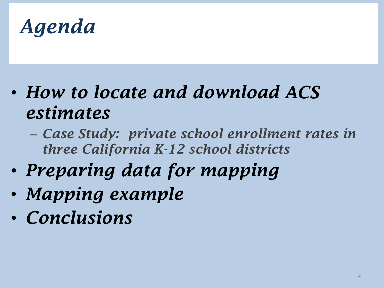

- *How to locate and download ACS estimates*
	- *Case Study: private school enrollment rates in three California K-12 school districts*
- *Preparing data for mapping*
- *Mapping example*
- *Conclusions*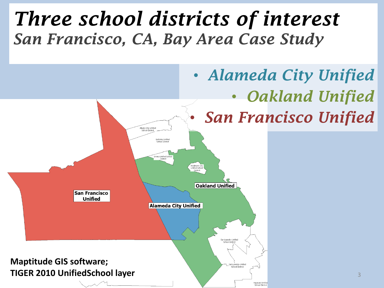## *Three school districts of interest San Francisco, CA, Bay Area Case Study*

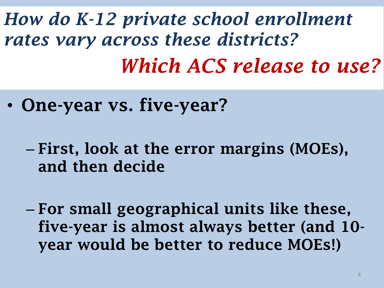*How do K-12 private school enrollment rates vary across these districts? Which ACS release to use?*

- **One-year vs. five-year?**
	- **First, look at the error margins (MOEs), and then decide**
	- **For small geographical units like these, five-year is almost always better (and 10 year would be better to reduce MOEs!)**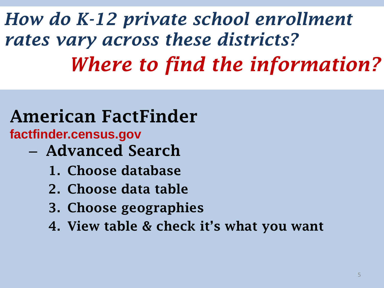*How do K-12 private school enrollment rates vary across these districts? Where to find the information?*

#### **American FactFinder factfinder.census.gov**

- **Advanced Search**
	- **1. Choose database**
	- **2. Choose data table**
	- **3. Choose geographies**
	- **4. View table & check it's what you want**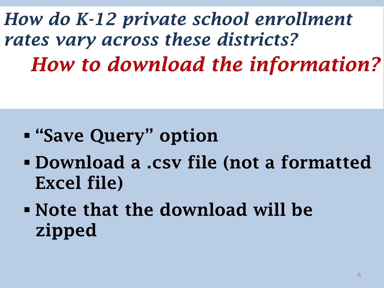*How do K-12 private school enrollment rates vary across these districts? How to download the information?*

- **"Save Query" option**
- **Download a .csv file (not a formatted Excel file)**
- **Note that the download will be zipped**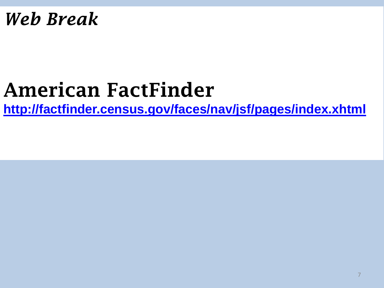### *Web Break*

# **American FactFinder**

**<http://factfinder.census.gov/faces/nav/jsf/pages/index.xhtml>**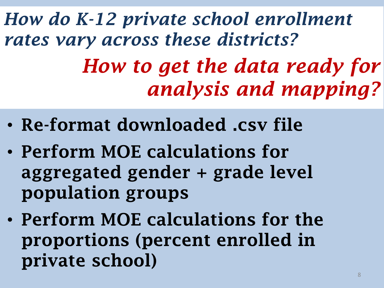*How do K-12 private school enrollment rates vary across these districts? How to get the data ready for analysis and mapping?*

- **Re-format downloaded .csv file**
- **Perform MOE calculations for aggregated gender + grade level population groups**
- **Perform MOE calculations for the proportions (percent enrolled in private school)**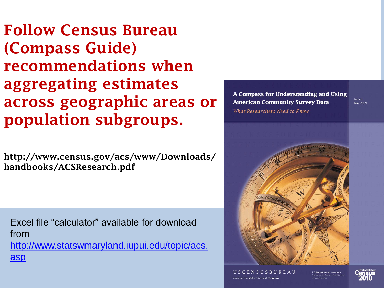**Follow Census Bureau (Compass Guide) recommendations when aggregating estimates across geographic areas or population subgroups.**

**http://www.census.gov/acs/www/Downloads/ handbooks/ACSResearch.pdf**

Excel file "calculator" available for download from [http://www.statswmaryland.iupui.edu/topic/acs.](http://www.statswmaryland.iupui.edu/topic/acs.asp) [asp](http://www.statswmaryland.iupui.edu/topic/acs.asp)

A Compass for Understanding and Using **American Community Survey Data** What Researchers Need to Know

**Issued** May 2009



USCENSUSRUREAU Helping You Make Informed Decision:

**U.S. Department of Commerce** conomics and Statistics Admini

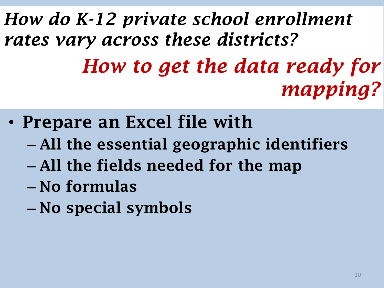*How do K-12 private school enrollment rates vary across these districts? How to get the data ready for mapping?*

- **Prepare an Excel file with**
	- **All the essential geographic identifiers**
	- **All the fields needed for the map**
	- **No formulas**
	- **No special symbols**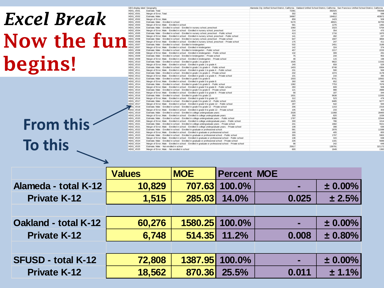# *Excel Break* **Now the f begins!**

**From this**

**To this**

|     | GEO.display-label Geography |                                                                                                              | Alameda City Unified School District, California   Oakland Unified School District, California   San Francisco Unified School District, California |        |        |
|-----|-----------------------------|--------------------------------------------------------------------------------------------------------------|----------------------------------------------------------------------------------------------------------------------------------------------------|--------|--------|
| iu: | HD01 VD01                   | Estimate: Total:                                                                                             | 72381                                                                                                                                              | 382025 | 795068 |
|     | <b>HD02_VD01</b>            | Margin of Error: Total:                                                                                      | 302                                                                                                                                                | 803    | 598    |
|     | <b>HD01 VD02</b>            | Estimate: Male:                                                                                              | 34987                                                                                                                                              | 184812 | 403872 |
|     | HD02_VD02                   | Margin of Error: Male:                                                                                       | 859                                                                                                                                                | 1423   | 509    |
|     | HD01_VD03                   | Estimate; Male: - Enrolled in school:                                                                        | 9170                                                                                                                                               | 48021  | 82700  |
|     | <b>HD02 VD03</b>            | Margin of Error: Male: - Enrolled in school:                                                                 | 581                                                                                                                                                | 1276   | 1482   |
|     | <b>HD01 VD04</b>            | Estimate; Male: - Enrolled in school: - Enrolled in nursery school, preschool:                               | 1060                                                                                                                                               | 3323   | 5764   |
|     | <b>HD02 VD04</b>            | Margin of Error: Male: - Enrolled in school: - Enrolled in nursery school, preschool:                        | 214                                                                                                                                                | 354    | 470    |
|     | <b>HD01 VD05</b>            | Estimate; Male: - Enrolled in school: - Enrolled in nursery school, preschool: - Public school               | 413                                                                                                                                                | 1716   | 1870   |
|     | <b>HD02_VD05</b>            | Margin of Error; Male: - Enrolled in school: - Enrolled in nursery school, preschool: - Public school        | 141                                                                                                                                                | 282    | 237    |
|     | <b>HD01 VD06</b>            | Estimate: Male: - Enrolled in school: - Enrolled in nursery school, preschool: - Private school              | 647                                                                                                                                                | 1607   | 3894   |
|     | <b>HD02_VD06</b>            | Margin of Error; Male: - Enrolled in school: - Enrolled in nursery school, preschool: - Private school       | 175                                                                                                                                                | 247    | 411    |
|     | HD01 VD07                   | Estimate: Male: - Enrolled in school: - Enrolled in kindergarten:                                            | 532                                                                                                                                                | 2451   | 3186   |
|     | <b>HD02 VD07</b>            | Margin of Error: Male: - Enrolled in school: - Enrolled in kindergarten:                                     | 142                                                                                                                                                | 324    | 374    |
|     | HD01 VD08                   | Estimate: Male: - Enrolled in school: - Enrolled in kindergarten: - Public school                            | 457                                                                                                                                                | 2217   | 2233   |
|     | <b>HD02 VD08</b>            | Margin of Error; Male: - Enrolled in school: - Enrolled in kindergarten: - Public school                     | 132                                                                                                                                                | 309    | 291    |
|     | HD01_VD09                   | Estimate; Male: - Enrolled in school: - Enrolled in kindergarten: - Private school                           | 75                                                                                                                                                 | 234    | 953    |
|     | HD02_VD09                   | Margin of Error; Male: - Enrolled in school: - Enrolled in kindergarten: - Private school                    | 48                                                                                                                                                 | 115    | 198    |
|     | HD01_VD10                   | Estimate; Male: - Enrolled in school: - Enrolled in grade 1 to grade 4:                                      | 1635                                                                                                                                               | 9822   | 11542  |
|     | HD02_VD10                   | Margin of Error; Male: - Enrolled in school: - Enrolled in grade 1 to grade 4:                               | 240                                                                                                                                                | 659    | 529    |
|     | HD01 VD11                   | Estimate: Male: - Enrolled in school: - Enrolled in grade 1 to grade 4: - Public school                      | 1403                                                                                                                                               | 8748   | 8364   |
|     | HD02 VD11                   | Margin of Error: Male: - Enrolled in school: - Enrolled in grade 1 to grade 4: - Public school               | 231                                                                                                                                                | 590    | 569    |
|     | HD01 VD12                   | Estimate: Male: - Enrolled in school: - Enrolled in grade 1 to grade 4: - Private school                     | 232                                                                                                                                                | 1074   | 3178   |
|     | HD02_VD12                   | Margin of Error; Male: - Enrolled in school: - Enrolled in grade 1 to grade 4: - Private school              | 101                                                                                                                                                | 216    | 390    |
|     | HD01_VD13                   | Estimate; Male: - Enrolled in school: - Enrolled in grade 5 to grade 8:                                      | 1503                                                                                                                                               | 8741   | 10562  |
|     | HD02_VD13                   | Margin of Error; Male: - Enrolled in school: - Enrolled in grade 5 to grade 8:                               | 260                                                                                                                                                | 652    | 540    |
|     | HD01_VD14                   | Estimate; Male: - Enrolled in school: - Enrolled in grade 5 to grade 8: - Public school                      | 1382                                                                                                                                               | 7753   | 7676   |
|     | <b>HD02 VD14</b>            | Margin of Error; Male: - Enrolled in school: - Enrolled in grade 5 to grade 8: - Public school               | 260                                                                                                                                                | 609    | 508    |
|     | <b>HD01 VD15</b>            | Estimate: Male: - Enrolled in school: - Enrolled in grade 5 to grade 8: - Private school                     | 121                                                                                                                                                | 988    | 2886   |
|     | <b>HD02 VD15</b>            | Margin of Error; Male: - Enrolled in school: - Enrolled in grade 5 to grade 8: - Private school              | 58                                                                                                                                                 | 187    | 344    |
|     | HD01_VD16                   | Estimate; Male: - Enrolled in school: - Enrolled in grade 9 to grade 12:                                     | 1831                                                                                                                                               | 9638   | 11593  |
|     | HD02_VD16                   | Margin of Error; Male: - Enrolled in school: - Enrolled in grade 9 to grade 12:                              | 312                                                                                                                                                | 523    | 479    |
|     | <b>HD01_VD17</b>            | Estimate; Male: - Enrolled in school: - Enrolled in grade 9 to grade 12: - Public school                     | 1625                                                                                                                                               | 8485   | 9277   |
|     | <b>HD02 VD17</b>            | Margin of Error; Male: - Enrolled in school: - Enrolled in grade 9 to grade 12: - Public school              | 297                                                                                                                                                | 542    | 500    |
|     | <b>D01 VD18</b>             | Estimate; Male: - Enrolled in school: - Enrolled in grade 9 to grade 12: - Private school                    | 206                                                                                                                                                | 1153   | 2316   |
|     | <b>HD02 VD18</b>            | Margin of Error: Male: - Enrolled in school: - Enrolled in grade 9 to grade 12: - Private school             | 105                                                                                                                                                | 233    | 303    |
|     | <b>HD01 VD19</b>            | Estimate: Male: - Enrolled in school: - Enrolled in college undergraduate vears:                             | 2028                                                                                                                                               | 11068  | 28465  |
|     | HD02 VD19                   | Margin of Error; Male: - Enrolled in school: - Enrolled in college undergraduate years:                      | 359                                                                                                                                                | 820    | 1039   |
|     | HD01_VD20                   | Estimate; Male: - Enrolled in school: - Enrolled in college undergraduate years: - Public school             | 1787                                                                                                                                               | 9386   | 22944  |
|     | <b>HD02 VD20</b>            | Margin of Error: Male: - Enrolled in school: - Enrolled in college undergraduate vears: - Public school      | 330                                                                                                                                                | 786    | 1014   |
|     | <b>HD01 VD21</b>            | Estimate; Male: - Enrolled in school: - Enrolled in college undergraduate years: - Private school            | 241                                                                                                                                                | 1682   | 5521   |
|     | HD02_VD21                   | Margin of Error; Male: - Enrolled in school: - Enrolled in college undergraduate years: - Private school     | 108                                                                                                                                                | 398    | 636    |
|     | <b>HD01 VD22</b>            | Estimate; Male: - Enrolled in school: - Enrolled in graduate or professional school:                         | 581                                                                                                                                                | 2978   | 11588  |
|     | <b>HD02 VD22</b>            | Margin of Error: Male: - Enrolled in school: - Enrolled in graduate or professional school:                  | 169                                                                                                                                                | 405    | 855    |
|     | HD01_VD23                   | Estimate; Male: - Enrolled in school: - Enrolled in graduate or professional school: - Public school         | 355                                                                                                                                                | 1797   | 5902   |
|     | <b>HD02 VD23</b>            | Margin of Error: Male: - Enrolled in school: - Enrolled in graduate or professional school: - Public school  | 138                                                                                                                                                | 315    | 638    |
|     | HD01_VD24                   | Estimate; Male: - Enrolled in school: - Enrolled in graduate or professional school: - Private school        | 226                                                                                                                                                | 1181   | 5686   |
|     | HD02_VD24                   | Margin of Error; Male: - Enrolled in school: - Enrolled in graduate or professional school: - Private school | 98                                                                                                                                                 | 242    | 649    |
|     | <b>HD01 VD25</b>            | Estimate: Male: - Not enrolled in school                                                                     | 25817                                                                                                                                              | 136791 | 321172 |
|     | HD02_VD25                   | Margin of Error; Male: - Not enrolled in school                                                              | 600                                                                                                                                                | 1649   | 1382   |
|     |                             |                                                                                                              |                                                                                                                                                    |        |        |

|                             | <b>Values</b> | <b>MOE</b> | <b>Percent MOE</b> |                |             |
|-----------------------------|---------------|------------|--------------------|----------------|-------------|
| Alameda - total K-12        | 10,829        | 707.63     | 100.0%             | ٠              | ± 0.00%     |
| <b>Private K-12</b>         | 1,515         | 285.03     | 14.0%              | 0.025          | $\pm 2.5\%$ |
|                             |               |            |                    |                |             |
| <b>Oakland - total K-12</b> | 60,276        |            | 1580.25 100.0%     | $\blacksquare$ | ± 0.00%     |
| <b>Private K-12</b>         | 6,748         |            | 514.35 11.2%       | 0.008          | ± 0.80%     |
|                             |               |            |                    |                |             |
| <b>SFUSD - total K-12</b>   | 72,808        | 1387.95    | 100.0%             | н              | ± 0.00%     |
| <b>Private K-12</b>         | 18,562        | 870.36     | 25.5%              | 0.011          | ± 1.1%      |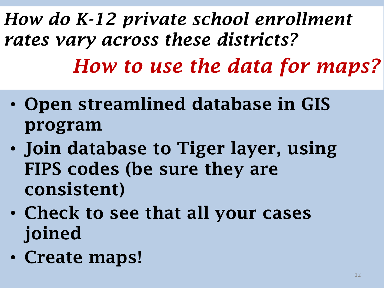*How do K-12 private school enrollment rates vary across these districts? How to use the data for maps?*

- **Open streamlined database in GIS program**
- **Join database to Tiger layer, using FIPS codes (be sure they are consistent)**
- **Check to see that all your cases joined**
- **Create maps!**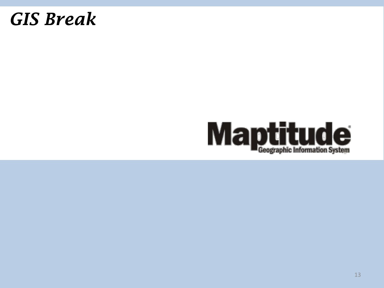### *GIS Break*

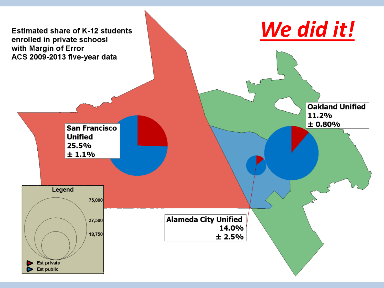